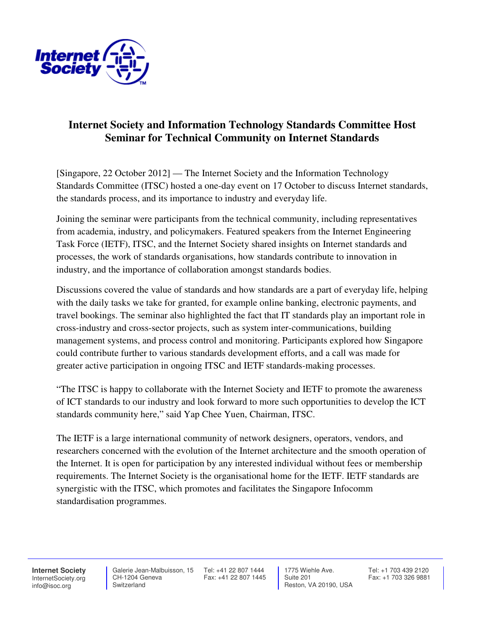

## **Internet Society and Information Technology Standards Committee Host Seminar for Technical Community on Internet Standards**

[Singapore, 22 October 2012] — The Internet Society and the Information Technology Standards Committee (ITSC) hosted a one-day event on 17 October to discuss Internet standards, the standards process, and its importance to industry and everyday life.

Joining the seminar were participants from the technical community, including representatives from academia, industry, and policymakers. Featured speakers from the Internet Engineering Task Force (IETF), ITSC, and the Internet Society shared insights on Internet standards and processes, the work of standards organisations, how standards contribute to innovation in industry, and the importance of collaboration amongst standards bodies.

Discussions covered the value of standards and how standards are a part of everyday life, helping with the daily tasks we take for granted, for example online banking, electronic payments, and travel bookings. The seminar also highlighted the fact that IT standards play an important role in cross-industry and cross-sector projects, such as system inter-communications, building management systems, and process control and monitoring. Participants explored how Singapore could contribute further to various standards development efforts, and a call was made for greater active participation in ongoing ITSC and IETF standards-making processes.

"The ITSC is happy to collaborate with the Internet Society and IETF to promote the awareness of ICT standards to our industry and look forward to more such opportunities to develop the ICT standards community here," said Yap Chee Yuen, Chairman, ITSC.

The IETF is a large international community of network designers, operators, vendors, and researchers concerned with the evolution of the Internet architecture and the smooth operation of the Internet. It is open for participation by any interested individual without fees or membership requirements. The Internet Society is the organisational home for the IETF. IETF standards are synergistic with the ITSC, which promotes and facilitates the Singapore Infocomm standardisation programmes.

**Internet Society** InternetSociety.org info@isoc.org

 Galerie Jean-Malbuisson, 15 CH-1204 Geneva Switzerland

Tel: +41 22 807 1444 Fax: +41 22 807 1445

 1775 Wiehle Ave. Suite 201 Reston, VA 20190, USA

Tel: +1 703 439 2120 Fax: +1 703 326 9881